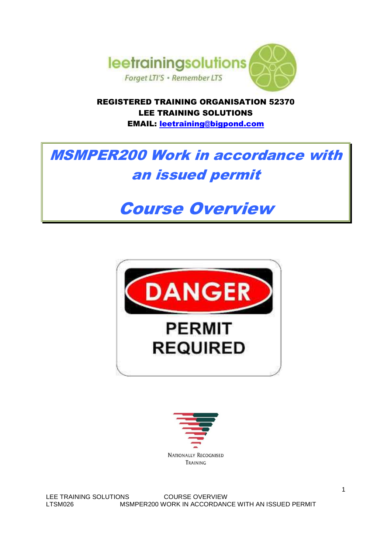

REGISTERED TRAINING ORGANISATION 52370 LEE TRAINING SOLUTIONS EMAIL: leetraining@bigpond.com

# MSMPER200 Work in accordance with an issued permit

# Course Overview





LEE TRAINING SOLUTIONS COURSE OVERVIEW LTSM026 MSMPER200 WORK IN ACCORDANCE WITH AN ISSUED PERMIT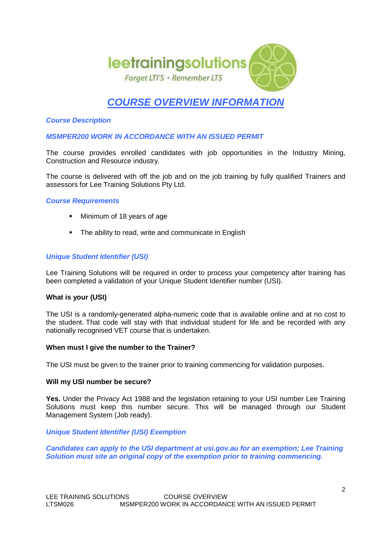

# **COURSE OVERVIEW INFORMATION**

### **Course Description**

**MSMPER200 WORK IN ACCORDANCE WITH AN ISSUED PERMIT** 

The course provides enrolled candidates with job opportunities in the Industry Mining, Construction and Resource industry.

The course is delivered with off the job and on the job training by fully qualified Trainers and assessors for Lee Training Solutions Pty Ltd.

#### **Course Requirements**

- **Minimum of 18 years of age**
- The ability to read, write and communicate in English

# **Unique Student Identifier (USI)**

Lee Training Solutions will be required in order to process your competency after training has been completed a validation of your Unique Student Identifier number (USI).

#### **What is your (USI)**

The USI is a randomly-generated alpha-numeric code that is available online and at no cost to the student. That code will stay with that individual student for life and be recorded with any nationally recognised VET course that is undertaken.

#### **When must I give the number to the Trainer?**

The USI must be given to the trainer prior to training commencing for validation purposes.

#### **Will my USI number be secure?**

**Yes.** Under the Privacy Act 1988 and the legislation retaining to your USI number Lee Training Solutions must keep this number secure. This will be managed through our Student Management System (Job ready).

#### **Unique Student Identifier (USI) Exemption**

**Candidates can apply to the USI department at usi.gov.au for an exemption; Lee Training Solution must site an original copy of the exemption prior to training commencing.**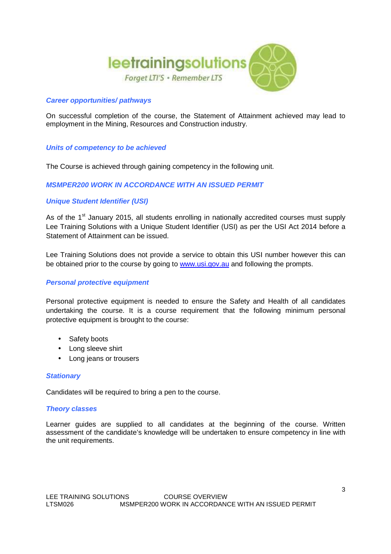

# **Career opportunities/ pathways**

On successful completion of the course, the Statement of Attainment achieved may lead to employment in the Mining, Resources and Construction industry.

# **Units of competency to be achieved**

The Course is achieved through gaining competency in the following unit.

# **MSMPER200 WORK IN ACCORDANCE WITH AN ISSUED PERMIT**

# **Unique Student Identifier (USI)**

As of the 1<sup>st</sup> January 2015, all students enrolling in nationally accredited courses must supply Lee Training Solutions with a Unique Student Identifier (USI) as per the USI Act 2014 before a Statement of Attainment can be issued.

Lee Training Solutions does not provide a service to obtain this USI number however this can be obtained prior to the course by going to www.usi.gov.au and following the prompts.

#### **Personal protective equipment**

Personal protective equipment is needed to ensure the Safety and Health of all candidates undertaking the course. It is a course requirement that the following minimum personal protective equipment is brought to the course:

- Safety boots
- Long sleeve shirt
- Long jeans or trousers

#### **Stationary**

Candidates will be required to bring a pen to the course.

#### **Theory classes**

Learner guides are supplied to all candidates at the beginning of the course. Written assessment of the candidate's knowledge will be undertaken to ensure competency in line with the unit requirements.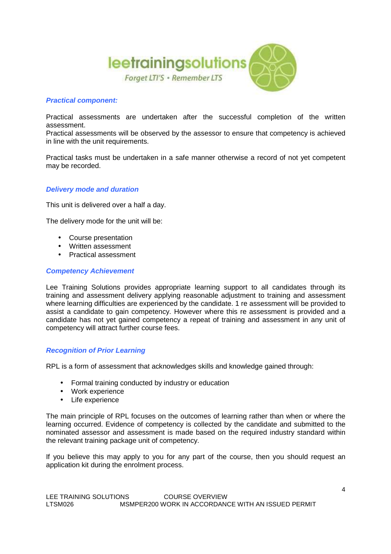

# **Practical component:**

Practical assessments are undertaken after the successful completion of the written assessment.

Practical assessments will be observed by the assessor to ensure that competency is achieved in line with the unit requirements.

Practical tasks must be undertaken in a safe manner otherwise a record of not yet competent may be recorded.

#### **Delivery mode and duration**

This unit is delivered over a half a day.

The delivery mode for the unit will be:

- Course presentation
- Written assessment
- Practical assessment

#### **Competency Achievement**

Lee Training Solutions provides appropriate learning support to all candidates through its training and assessment delivery applying reasonable adjustment to training and assessment where learning difficulties are experienced by the candidate. 1 re assessment will be provided to assist a candidate to gain competency. However where this re assessment is provided and a candidate has not yet gained competency a repeat of training and assessment in any unit of competency will attract further course fees.

#### **Recognition of Prior Learning**

RPL is a form of assessment that acknowledges skills and knowledge gained through:

- Formal training conducted by industry or education
- Work experience
- Life experience

The main principle of RPL focuses on the outcomes of learning rather than when or where the learning occurred. Evidence of competency is collected by the candidate and submitted to the nominated assessor and assessment is made based on the required industry standard within the relevant training package unit of competency.

If you believe this may apply to you for any part of the course, then you should request an application kit during the enrolment process.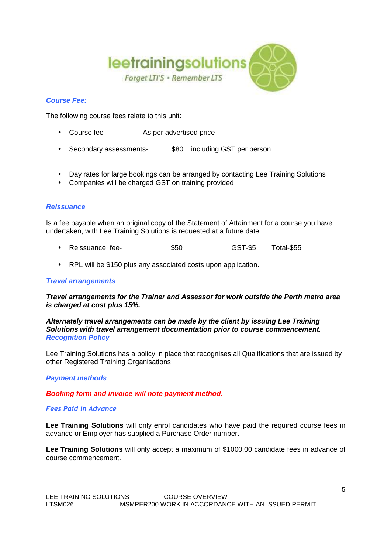

# **Course Fee:**

The following course fees relate to this unit:

- Course fee- As per advertised price
- Secondary assessments- \$80 including GST per person
- Day rates for large bookings can be arranged by contacting Lee Training Solutions
- Companies will be charged GST on training provided

# **Reissuance**

Is a fee payable when an original copy of the Statement of Attainment for a course you have undertaken, with Lee Training Solutions is requested at a future date

- Reissuance fee-  $$50$  GST-\$5 Total-\$55
- RPL will be \$150 plus any associated costs upon application.

#### **Travel arrangements**

#### **Travel arrangements for the Trainer and Assessor for work outside the Perth metro area is charged at cost plus 15%.**

#### **Alternately travel arrangements can be made by the client by issuing Lee Training Solutions with travel arrangement documentation prior to course commencement. Recognition Policy**

Lee Training Solutions has a policy in place that recognises all Qualifications that are issued by other Registered Training Organisations.

### **Payment methods**

#### **Booking form and invoice will note payment method.**

#### *Fees Paid in Advance*

**Lee Training Solutions** will only enrol candidates who have paid the required course fees in advance or Employer has supplied a Purchase Order number.

**Lee Training Solutions** will only accept a maximum of \$1000.00 candidate fees in advance of course commencement.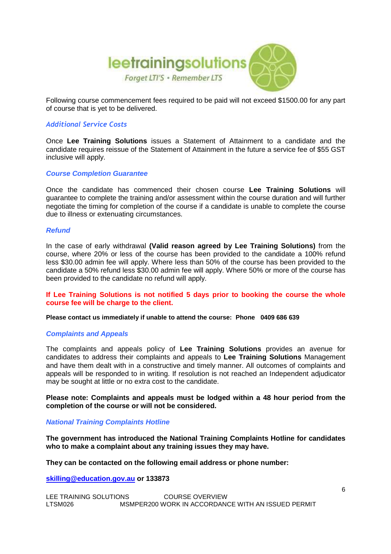

Following course commencement fees required to be paid will not exceed \$1500.00 for any part of course that is yet to be delivered.

# *Additional Service Costs*

Once **Lee Training Solutions** issues a Statement of Attainment to a candidate and the candidate requires reissue of the Statement of Attainment in the future a service fee of \$55 GST inclusive will apply.

#### **Course Completion Guarantee**

Once the candidate has commenced their chosen course **Lee Training Solutions** will guarantee to complete the training and/or assessment within the course duration and will further negotiate the timing for completion of the course if a candidate is unable to complete the course due to illness or extenuating circumstances.

#### **Refund**

In the case of early withdrawal **(Valid reason agreed by Lee Training Solutions)** from the course, where 20% or less of the course has been provided to the candidate a 100% refund less \$30.00 admin fee will apply. Where less than 50% of the course has been provided to the candidate a 50% refund less \$30.00 admin fee will apply. Where 50% or more of the course has been provided to the candidate no refund will apply.

#### **If Lee Training Solutions is not notified 5 days prior to booking the course the whole course fee will be charge to the client.**

#### **Please contact us immediately if unable to attend the course: Phone 0409 686 639**

#### **Complaints and Appeals**

The complaints and appeals policy of **Lee Training Solutions** provides an avenue for candidates to address their complaints and appeals to **Lee Training Solutions** Management and have them dealt with in a constructive and timely manner. All outcomes of complaints and appeals will be responded to in writing. If resolution is not reached an Independent adjudicator may be sought at little or no extra cost to the candidate.

#### **Please note: Complaints and appeals must be lodged within a 48 hour period from the completion of the course or will not be considered.**

#### **National Training Complaints Hotline**

**The government has introduced the National Training Complaints Hotline for candidates who to make a complaint about any training issues they may have.** 

#### **They can be contacted on the following email address or phone number:**

**skilling@education.gov.au or 133873**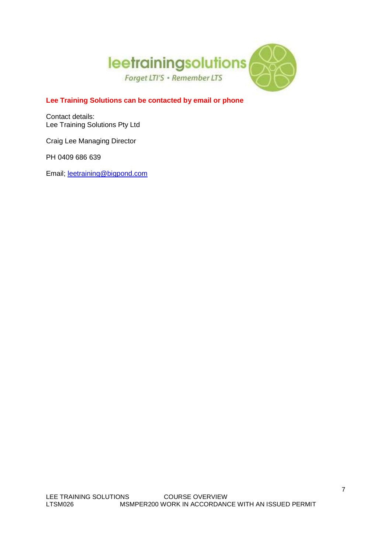

# **Lee Training Solutions can be contacted by email or phone**

Contact details: Lee Training Solutions Pty Ltd

Craig Lee Managing Director

PH 0409 686 639

Email; leetraining@bigpond.com